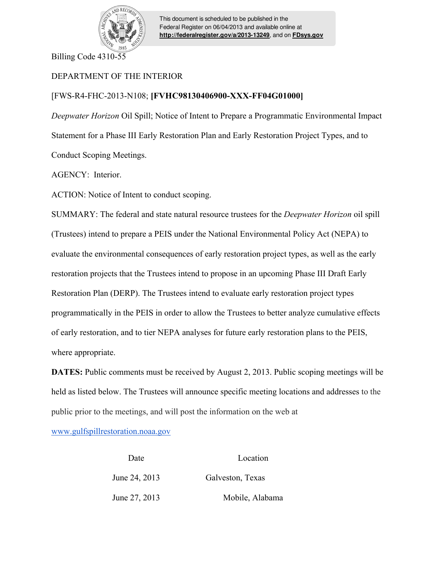

This document is scheduled to be published in the Federal Register on 06/04/2013 and available online at **<http://federalregister.gov/a/2013-13249>**, and on **[FDsys.gov](http://federalregister.gov/a/2013-13249.pdf)**

# DEPARTMENT OF THE INTERIOR

## [FWS-R4-FHC-2013-N108; **[FVHC98130406900-XXX-FF04G01000]**

*Deepwater Horizon* Oil Spill; Notice of Intent to Prepare a Programmatic Environmental Impact Statement for a Phase III Early Restoration Plan and Early Restoration Project Types, and to Conduct Scoping Meetings.

AGENCY: Interior.

ACTION: Notice of Intent to conduct scoping.

SUMMARY: The federal and state natural resource trustees for the *Deepwater Horizon* oil spill (Trustees) intend to prepare a PEIS under the National Environmental Policy Act (NEPA) to evaluate the environmental consequences of early restoration project types, as well as the early restoration projects that the Trustees intend to propose in an upcoming Phase III Draft Early Restoration Plan (DERP). The Trustees intend to evaluate early restoration project types programmatically in the PEIS in order to allow the Trustees to better analyze cumulative effects of early restoration, and to tier NEPA analyses for future early restoration plans to the PEIS, where appropriate.

**DATES:** Public comments must be received by August 2, 2013. Public scoping meetings will be held as listed below. The Trustees will announce specific meeting locations and addresses to the public prior to the meetings, and will post the information on the web at

www.gulfspillrestoration.noaa.gov

| Location         | Date          |
|------------------|---------------|
| Galveston, Texas | June 24, 2013 |
| Mobile, Alabama  | June 27, 2013 |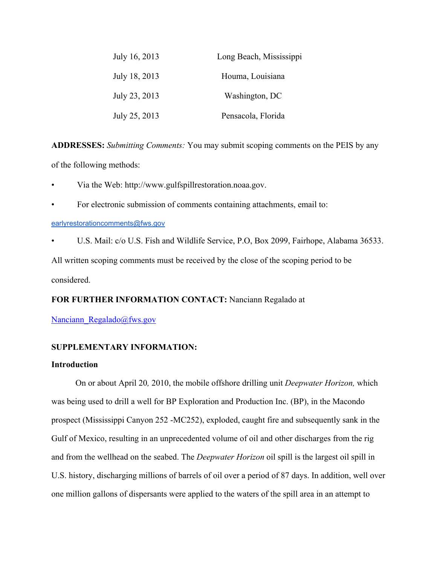| July 16, 2013 | Long Beach, Mississippi |
|---------------|-------------------------|
| July 18, 2013 | Houma, Louisiana        |
| July 23, 2013 | Washington, DC          |
| July 25, 2013 | Pensacola, Florida      |

**ADDRESSES:** *Submitting Comments:* You may submit scoping comments on the PEIS by any of the following methods:

- Via the Web: http://www.gulfspillrestoration.noaa.gov.
- For electronic submission of comments containing attachments, email to:

### earlyrestorationcomments@fws.gov

• U.S. Mail: c/o U.S. Fish and Wildlife Service, P.O, Box 2099, Fairhope, Alabama 36533.

All written scoping comments must be received by the close of the scoping period to be

considered.

## **FOR FURTHER INFORMATION CONTACT:** Nanciann Regalado at

Nanciann\_Regalado@fws.gov

### **SUPPLEMENTARY INFORMATION:**

### **Introduction**

On or about April 20*,* 2010, the mobile offshore drilling unit *Deepwater Horizon,* which was being used to drill a well for BP Exploration and Production Inc. (BP), in the Macondo prospect (Mississippi Canyon 252 -MC252), exploded, caught fire and subsequently sank in the Gulf of Mexico, resulting in an unprecedented volume of oil and other discharges from the rig and from the wellhead on the seabed. The *Deepwater Horizon* oil spill is the largest oil spill in U.S. history, discharging millions of barrels of oil over a period of 87 days. In addition, well over one million gallons of dispersants were applied to the waters of the spill area in an attempt to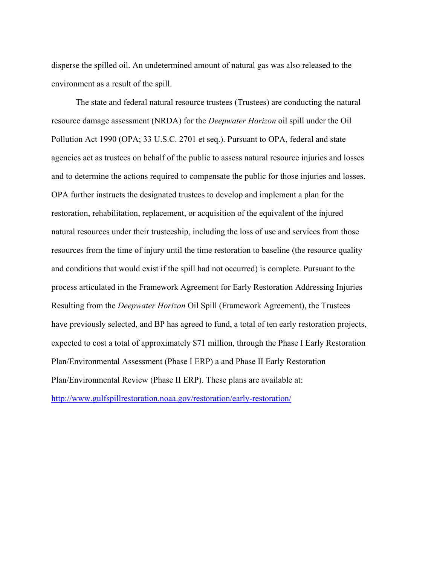disperse the spilled oil. An undetermined amount of natural gas was also released to the environment as a result of the spill.

The state and federal natural resource trustees (Trustees) are conducting the natural resource damage assessment (NRDA) for the *Deepwater Horizon* oil spill under the Oil Pollution Act 1990 (OPA; 33 U.S.C. 2701 et seq.). Pursuant to OPA, federal and state agencies act as trustees on behalf of the public to assess natural resource injuries and losses and to determine the actions required to compensate the public for those injuries and losses. OPA further instructs the designated trustees to develop and implement a plan for the restoration, rehabilitation, replacement, or acquisition of the equivalent of the injured natural resources under their trusteeship, including the loss of use and services from those resources from the time of injury until the time restoration to baseline (the resource quality and conditions that would exist if the spill had not occurred) is complete. Pursuant to the process articulated in the Framework Agreement for Early Restoration Addressing Injuries Resulting from the *Deepwater Horizon* Oil Spill (Framework Agreement), the Trustees have previously selected, and BP has agreed to fund, a total of ten early restoration projects, expected to cost a total of approximately \$71 million, through the Phase I Early Restoration Plan/Environmental Assessment (Phase I ERP) a and Phase II Early Restoration Plan/Environmental Review (Phase II ERP). These plans are available at: http://www.gulfspillrestoration.noaa.gov/restoration/early-restoration/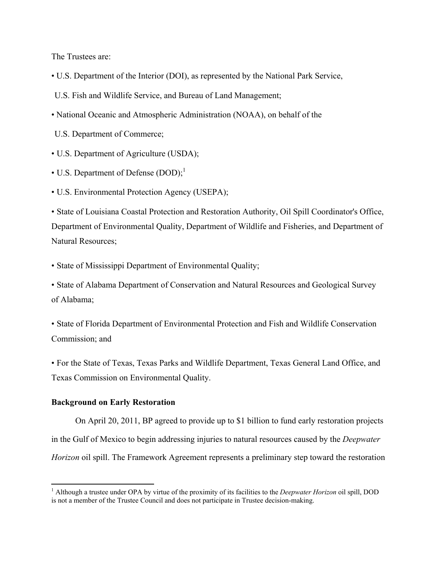The Trustees are:

• U.S. Department of the Interior (DOI), as represented by the National Park Service,

U.S. Fish and Wildlife Service, and Bureau of Land Management;

• National Oceanic and Atmospheric Administration (NOAA), on behalf of the

U.S. Department of Commerce;

- U.S. Department of Agriculture (USDA);
- U.S. Department of Defense  $(DOD)$ ;<sup>1</sup>
- U.S. Environmental Protection Agency (USEPA);

• State of Louisiana Coastal Protection and Restoration Authority, Oil Spill Coordinator's Office, Department of Environmental Quality, Department of Wildlife and Fisheries, and Department of Natural Resources;

• State of Mississippi Department of Environmental Quality;

• State of Alabama Department of Conservation and Natural Resources and Geological Survey of Alabama;

• State of Florida Department of Environmental Protection and Fish and Wildlife Conservation Commission; and

• For the State of Texas, Texas Parks and Wildlife Department, Texas General Land Office, and Texas Commission on Environmental Quality.

### **Background on Early Restoration**

 $\overline{\phantom{a}}$ 

On April 20, 2011, BP agreed to provide up to \$1 billion to fund early restoration projects in the Gulf of Mexico to begin addressing injuries to natural resources caused by the *Deepwater Horizon* oil spill. The Framework Agreement represents a preliminary step toward the restoration

<sup>1</sup> Although a trustee under OPA by virtue of the proximity of its facilities to the *Deepwater Horizon* oil spill, DOD is not a member of the Trustee Council and does not participate in Trustee decision-making.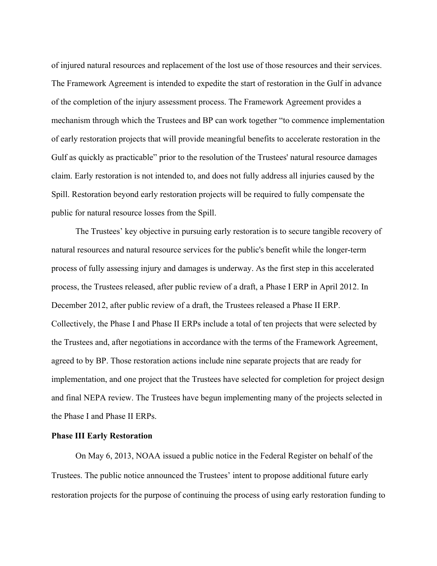of injured natural resources and replacement of the lost use of those resources and their services. The Framework Agreement is intended to expedite the start of restoration in the Gulf in advance of the completion of the injury assessment process. The Framework Agreement provides a mechanism through which the Trustees and BP can work together "to commence implementation of early restoration projects that will provide meaningful benefits to accelerate restoration in the Gulf as quickly as practicable" prior to the resolution of the Trustees' natural resource damages claim. Early restoration is not intended to, and does not fully address all injuries caused by the Spill. Restoration beyond early restoration projects will be required to fully compensate the public for natural resource losses from the Spill.

The Trustees' key objective in pursuing early restoration is to secure tangible recovery of natural resources and natural resource services for the public's benefit while the longer-term process of fully assessing injury and damages is underway. As the first step in this accelerated process, the Trustees released, after public review of a draft, a Phase I ERP in April 2012. In December 2012, after public review of a draft, the Trustees released a Phase II ERP. Collectively, the Phase I and Phase II ERPs include a total of ten projects that were selected by the Trustees and, after negotiations in accordance with the terms of the Framework Agreement, agreed to by BP. Those restoration actions include nine separate projects that are ready for implementation, and one project that the Trustees have selected for completion for project design and final NEPA review. The Trustees have begun implementing many of the projects selected in the Phase I and Phase II ERPs.

#### **Phase III Early Restoration**

On May 6, 2013, NOAA issued a public notice in the Federal Register on behalf of the Trustees. The public notice announced the Trustees' intent to propose additional future early restoration projects for the purpose of continuing the process of using early restoration funding to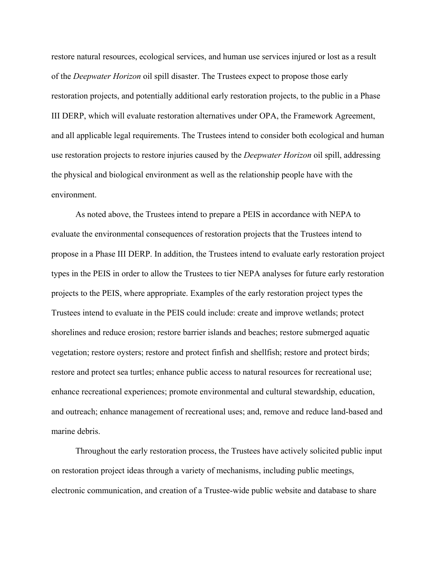restore natural resources, ecological services, and human use services injured or lost as a result of the *Deepwater Horizon* oil spill disaster. The Trustees expect to propose those early restoration projects, and potentially additional early restoration projects, to the public in a Phase III DERP, which will evaluate restoration alternatives under OPA, the Framework Agreement, and all applicable legal requirements. The Trustees intend to consider both ecological and human use restoration projects to restore injuries caused by the *Deepwater Horizon* oil spill, addressing the physical and biological environment as well as the relationship people have with the environment.

As noted above, the Trustees intend to prepare a PEIS in accordance with NEPA to evaluate the environmental consequences of restoration projects that the Trustees intend to propose in a Phase III DERP. In addition, the Trustees intend to evaluate early restoration project types in the PEIS in order to allow the Trustees to tier NEPA analyses for future early restoration projects to the PEIS, where appropriate. Examples of the early restoration project types the Trustees intend to evaluate in the PEIS could include: create and improve wetlands; protect shorelines and reduce erosion; restore barrier islands and beaches; restore submerged aquatic vegetation; restore oysters; restore and protect finfish and shellfish; restore and protect birds; restore and protect sea turtles; enhance public access to natural resources for recreational use; enhance recreational experiences; promote environmental and cultural stewardship, education, and outreach; enhance management of recreational uses; and, remove and reduce land-based and marine debris.

Throughout the early restoration process, the Trustees have actively solicited public input on restoration project ideas through a variety of mechanisms, including public meetings, electronic communication, and creation of a Trustee-wide public website and database to share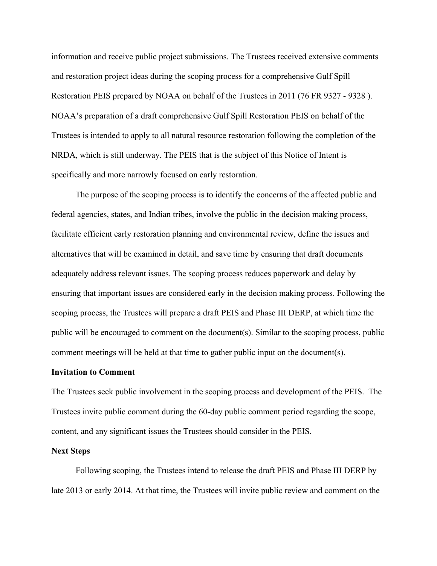information and receive public project submissions. The Trustees received extensive comments and restoration project ideas during the scoping process for a comprehensive Gulf Spill Restoration PEIS prepared by NOAA on behalf of the Trustees in 2011 (76 FR 9327 - 9328 ). NOAA's preparation of a draft comprehensive Gulf Spill Restoration PEIS on behalf of the Trustees is intended to apply to all natural resource restoration following the completion of the NRDA, which is still underway. The PEIS that is the subject of this Notice of Intent is specifically and more narrowly focused on early restoration.

The purpose of the scoping process is to identify the concerns of the affected public and federal agencies, states, and Indian tribes, involve the public in the decision making process, facilitate efficient early restoration planning and environmental review, define the issues and alternatives that will be examined in detail, and save time by ensuring that draft documents adequately address relevant issues. The scoping process reduces paperwork and delay by ensuring that important issues are considered early in the decision making process. Following the scoping process, the Trustees will prepare a draft PEIS and Phase III DERP, at which time the public will be encouraged to comment on the document(s). Similar to the scoping process, public comment meetings will be held at that time to gather public input on the document(s).

#### **Invitation to Comment**

The Trustees seek public involvement in the scoping process and development of the PEIS. The Trustees invite public comment during the 60-day public comment period regarding the scope, content, and any significant issues the Trustees should consider in the PEIS.

#### **Next Steps**

Following scoping, the Trustees intend to release the draft PEIS and Phase III DERP by late 2013 or early 2014. At that time, the Trustees will invite public review and comment on the